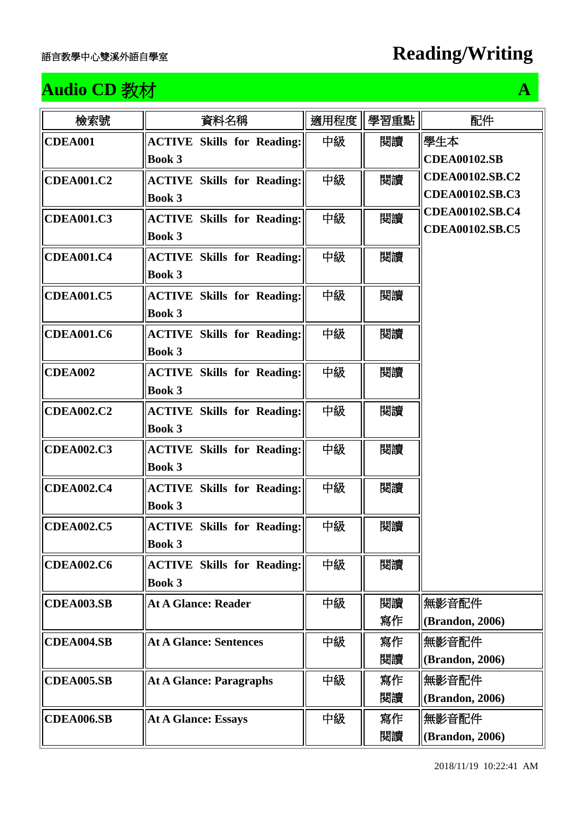**Audio CD** 教材 **A**

| 檢索號               | 資料名稱                              | 適用程度 | 學習重點 | 配件                     |
|-------------------|-----------------------------------|------|------|------------------------|
| CDEA001           | <b>ACTIVE Skills for Reading:</b> | 中級   | 閱讀   | 學生本                    |
|                   | <b>Book 3</b>                     |      |      | <b>CDEA00102.SB</b>    |
| <b>CDEA001.C2</b> | <b>ACTIVE Skills for Reading:</b> | 中級   | 閲讀   | <b>CDEA00102.SB.C2</b> |
|                   | <b>Book 3</b>                     |      |      | <b>CDEA00102.SB.C3</b> |
| <b>CDEA001.C3</b> | <b>ACTIVE Skills for Reading:</b> | 中級   | 閲讀   | <b>CDEA00102.SB.C4</b> |
|                   | <b>Book 3</b>                     |      |      | <b>CDEA00102.SB.C5</b> |
| <b>CDEA001.C4</b> | <b>ACTIVE Skills for Reading:</b> | 中級   | 閱讀   |                        |
|                   | <b>Book 3</b>                     |      |      |                        |
| <b>CDEA001.C5</b> | <b>ACTIVE Skills for Reading:</b> | 中級   | 閱讀   |                        |
|                   | <b>Book 3</b>                     |      |      |                        |
| <b>CDEA001.C6</b> | <b>ACTIVE Skills for Reading:</b> | 中級   | 閲讀   |                        |
|                   | <b>Book 3</b>                     |      |      |                        |
| <b>CDEA002</b>    | <b>ACTIVE Skills for Reading:</b> | 中級   | 閲讀   |                        |
|                   | <b>Book 3</b>                     |      |      |                        |
| <b>CDEA002.C2</b> | <b>ACTIVE Skills for Reading:</b> | 中級   | 閲讀   |                        |
|                   | <b>Book 3</b>                     |      |      |                        |
| <b>CDEA002.C3</b> | <b>ACTIVE Skills for Reading:</b> | 中級   | 閱讀   |                        |
|                   | <b>Book 3</b>                     |      |      |                        |
| <b>CDEA002.C4</b> | <b>ACTIVE Skills for Reading:</b> | 中級   | 閲讀   |                        |
|                   | <b>Book 3</b>                     |      |      |                        |
| <b>CDEA002.C5</b> | <b>ACTIVE Skills for Reading:</b> | 中級   | 閱讀   |                        |
|                   | <b>Book 3</b>                     |      |      |                        |
| <b>CDEA002.C6</b> | <b>ACTIVE Skills for Reading:</b> | 中級   | 閲讀   |                        |
|                   | <b>Book 3</b>                     |      |      |                        |
| <b>CDEA003.SB</b> | <b>At A Glance: Reader</b>        | 中級   | 閲讀   | 無影音配件                  |
|                   |                                   |      | 寫作   | (Brandon, 2006)        |
| <b>CDEA004.SB</b> | <b>At A Glance: Sentences</b>     | 中級   | 寫作   | 無影音配件                  |
|                   |                                   |      | 閲讀   | (Brandon, 2006)        |
| <b>CDEA005.SB</b> | <b>At A Glance: Paragraphs</b>    | 中級   | 寫作   | 無影音配件                  |
|                   |                                   |      | 閲讀   | (Brandon, 2006)        |
| <b>CDEA006.SB</b> | <b>At A Glance: Essays</b>        | 中級   | 寫作   | 無影音配件                  |
|                   |                                   |      | 閲讀   | (Brandon, 2006)        |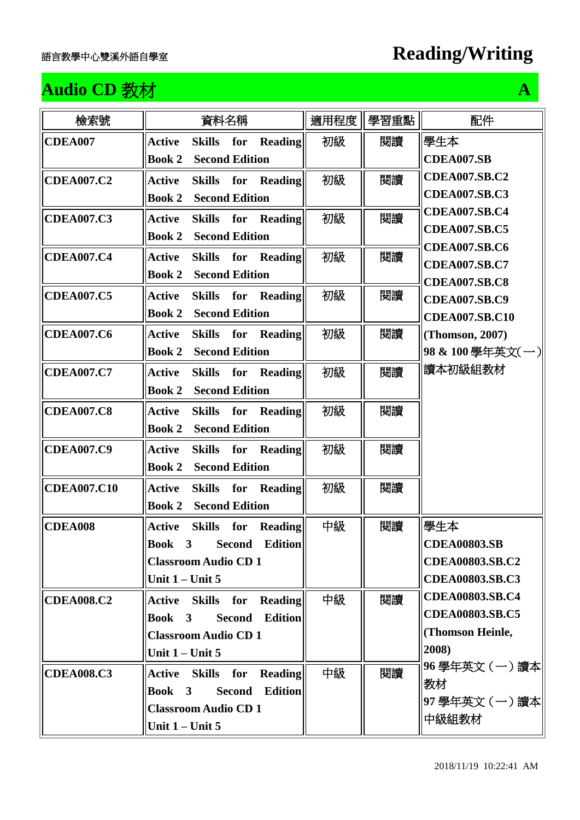## **Audio CD** 教材 **Audio CD** 的过去分词

| 檢索號                | 資料名稱                                                               | 適用程度 | 學習重點 | 配件                                           |
|--------------------|--------------------------------------------------------------------|------|------|----------------------------------------------|
| <b>CDEA007</b>     | <b>Skills</b><br>for<br><b>Reading</b><br><b>Active</b>            | 初級   | 閱讀   | 學生本                                          |
|                    | <b>Second Edition</b><br><b>Book 2</b>                             |      |      | <b>CDEA007.SB</b>                            |
| <b>CDEA007.C2</b>  | <b>Active</b><br><b>Skills</b> for Reading                         | 初級   | 閲讀   | <b>CDEA007.SB.C2</b>                         |
|                    | <b>Second Edition</b><br><b>Book 2</b>                             |      |      | <b>CDEA007.SB.C3</b>                         |
| <b>CDEA007.C3</b>  | <b>Active</b><br>Skills for Reading                                | 初級   | 閲讀   | <b>CDEA007.SB.C4</b>                         |
|                    | <b>Second Edition</b><br><b>Book 2</b>                             |      |      | <b>CDEA007.SB.C5</b>                         |
| <b>CDEA007.C4</b>  | <b>Active</b><br><b>Skills</b><br>for<br><b>Reading</b>            | 初級   | 閲讀   | <b>CDEA007.SB.C6</b><br><b>CDEA007.SB.C7</b> |
|                    | <b>Second Edition</b><br><b>Book 2</b>                             |      |      | <b>CDEA007.SB.C8</b>                         |
| <b>CDEA007.C5</b>  | <b>Active</b><br><b>Skills</b><br>for Reading                      | 初級   | 閲讀   | <b>CDEA007.SB.C9</b>                         |
|                    | <b>Second Edition</b><br><b>Book 2</b>                             |      |      | <b>CDEA007.SB.C10</b>                        |
| <b>CDEA007.C6</b>  | <b>Active</b><br>Skills for Reading                                | 初級   | 閲讀   | (Thomson, 2007)                              |
|                    | <b>Second Edition</b><br><b>Book 2</b>                             |      |      | 98 & 100 學年英文(一)                             |
| <b>CDEA007.C7</b>  | <b>Active</b><br><b>Skills</b><br>for Reading                      | 初級   | 閲讀   | 讀本初級組教材                                      |
|                    | <b>Second Edition</b><br><b>Book 2</b>                             |      |      |                                              |
| <b>CDEA007.C8</b>  | <b>Skills</b><br><b>Active</b><br>for<br><b>Reading</b>            | 初級   | 閱讀   |                                              |
|                    | <b>Second Edition</b><br><b>Book 2</b>                             |      |      |                                              |
| <b>CDEA007.C9</b>  | <b>Active</b><br><b>Skills</b> for Reading                         | 初級   | 閱讀   |                                              |
|                    | <b>Second Edition</b><br><b>Book 2</b>                             |      |      |                                              |
| <b>CDEA007.C10</b> | <b>Active</b><br><b>Skills</b><br>for<br><b>Reading</b>            | 初級   | 閱讀   |                                              |
|                    | <b>Second Edition</b><br><b>Book 2</b>                             |      |      |                                              |
| <b>CDEA008</b>     | Skills for<br><b>Active</b><br><b>Reading</b>                      | 中級   | 閱讀   | 學生本                                          |
|                    | Book 3<br><b>Second Edition</b>                                    |      |      | <b>CDEA00803.SB</b>                          |
|                    | <b>Classroom Audio CD 1</b>                                        |      |      | <b>CDEA00803.SB.C2</b>                       |
|                    | Unit $1 -$ Unit 5                                                  |      |      | <b>CDEA00803.SB.C3</b>                       |
| <b>CDEA008.C2</b>  | <b>Reading</b><br><b>Active Skills for</b>                         | 中級   | 閲讀   | <b>CDEA00803.SB.C4</b>                       |
|                    | <b>Edition</b><br>$\overline{\mathbf{3}}$<br><b>Second</b><br>Book |      |      | <b>CDEA00803.SB.C5</b>                       |
|                    | <b>Classroom Audio CD 1</b>                                        |      |      | (Thomson Heinle,                             |
|                    | Unit $1 -$ Unit 5                                                  |      |      | 2008)                                        |
| <b>CDEA008.C3</b>  | <b>Skills</b><br><b>Reading</b><br><b>Active</b><br>for            | 中級   | 閱讀   | 96 學年英文 (一) 讀本                               |
|                    | <b>Edition</b><br><b>Second</b><br>Book 3                          |      |      | 教材<br>97 學年英文 (一) 讀本                         |
|                    | <b>Classroom Audio CD 1</b>                                        |      |      | 中級組教材                                        |
|                    | Unit $1 -$ Unit 5                                                  |      |      |                                              |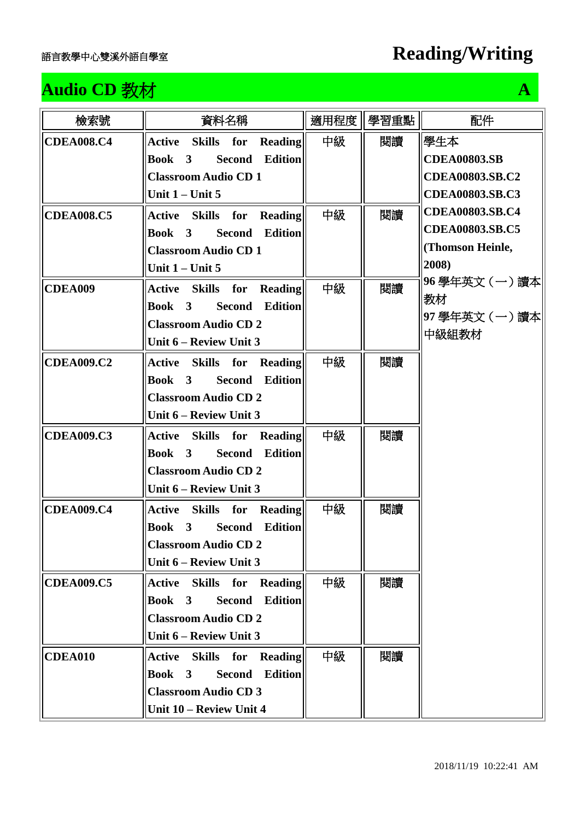## **Audio CD** 教材 **Audio CD** 的过去分词

| 檢索號               | 資料名稱                                                    | 適用程度 | 學習重點 | 配件                     |
|-------------------|---------------------------------------------------------|------|------|------------------------|
| <b>CDEA008.C4</b> | Skills for<br><b>Active</b><br><b>Reading</b>           | 中級   | 閲讀   | 學生本                    |
|                   | <b>Edition</b><br>Book 3<br><b>Second</b>               |      |      | <b>CDEA00803.SB</b>    |
|                   | <b>Classroom Audio CD 1</b>                             |      |      | <b>CDEA00803.SB.C2</b> |
|                   | Unit $1 -$ Unit 5                                       |      |      | <b>CDEA00803.SB.C3</b> |
| <b>CDEA008.C5</b> | <b>Active Skills for</b><br>Reading                     | 中級   | 閲讀   | <b>CDEA00803.SB.C4</b> |
|                   | Book 3<br><b>Second</b><br><b>Edition</b>               |      |      | <b>CDEA00803.SB.C5</b> |
|                   | <b>Classroom Audio CD 1</b>                             |      |      | (Thomson Heinle,       |
|                   | Unit $1 -$ Unit $5$                                     |      |      | 2008)                  |
| CDEA009           | <b>Active Skills</b><br>for<br><b>Reading</b>           | 中級   | 閲讀   | 96學年英文 (一) 讀本<br>教材    |
|                   | <b>Edition</b><br>Book 3<br><b>Second</b>               |      |      | 97 學年英文 (一) 讀本         |
|                   | <b>Classroom Audio CD 2</b>                             |      |      | 中級組教材                  |
|                   | Unit 6 - Review Unit 3                                  |      |      |                        |
| <b>CDEA009.C2</b> | Skills for<br><b>Active</b><br><b>Reading</b>           | 中級   | 閲讀   |                        |
|                   | <b>Edition</b><br>Book 3<br><b>Second</b>               |      |      |                        |
|                   | <b>Classroom Audio CD 2</b>                             |      |      |                        |
|                   | Unit 6 - Review Unit 3                                  |      |      |                        |
| <b>CDEA009.C3</b> | Active Skills for<br><b>Reading</b>                     | 中級   | 閱讀   |                        |
|                   | <b>Edition</b><br>Book 3<br><b>Second</b>               |      |      |                        |
|                   | <b>Classroom Audio CD 2</b>                             |      |      |                        |
|                   | Unit 6 - Review Unit 3                                  |      |      |                        |
| <b>CDEA009.C4</b> | Skills for<br>Active<br><b>Reading</b>                  | 中級   | 閲讀   |                        |
|                   | <b>Edition</b><br>$\mathbf{3}$<br>Book<br><b>Second</b> |      |      |                        |
|                   | <b>Classroom Audio CD 2</b>                             |      |      |                        |
|                   | Unit 6 – Review Unit 3                                  |      |      |                        |
| <b>CDEA009.C5</b> | <b>Active Skills for</b><br>Reading                     | 中級   | 閱讀   |                        |
|                   | <b>Edition</b><br>Book 3<br><b>Second</b>               |      |      |                        |
|                   | <b>Classroom Audio CD 2</b>                             |      |      |                        |
|                   | Unit 6 - Review Unit 3                                  |      |      |                        |
| CDEA010           | <b>Reading</b><br><b>Active Skills for</b>              | 中級   | 閱讀   |                        |
|                   | <b>Edition</b><br>Book 3<br><b>Second</b>               |      |      |                        |
|                   | <b>Classroom Audio CD 3</b>                             |      |      |                        |
|                   | Unit 10 - Review Unit 4                                 |      |      |                        |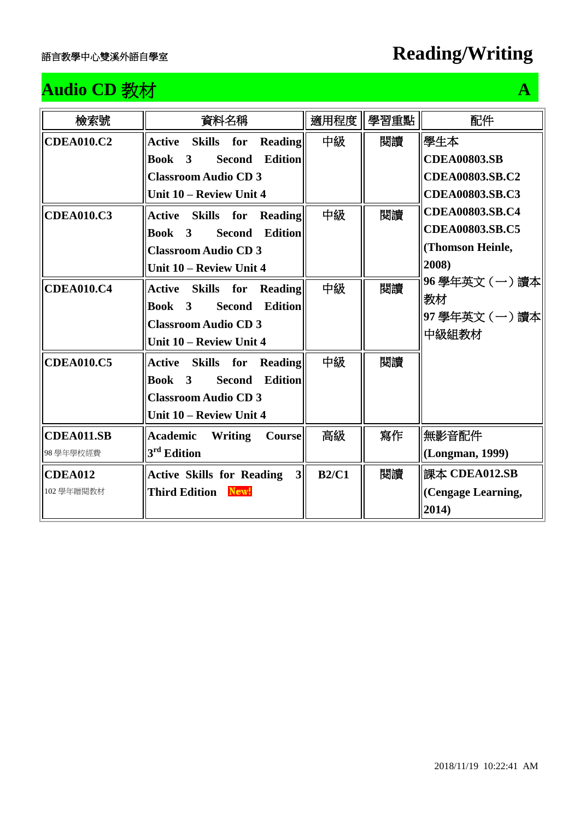# **Audio CD** 教材 **Audio CD** 的过去分词

| 檢索號                                    | 資料名稱                                                                                                                                                                                                                  | 適用程度     | 學習重點     | 配件                                                                                            |
|----------------------------------------|-----------------------------------------------------------------------------------------------------------------------------------------------------------------------------------------------------------------------|----------|----------|-----------------------------------------------------------------------------------------------|
| <b>CDEA010.C2</b>                      | <b>Active</b><br><b>Skills</b><br>for<br><b>Reading</b><br><b>Second</b><br><b>Edition</b><br><b>Book</b><br>-3<br><b>Classroom Audio CD 3</b><br>Unit 10 - Review Unit 4                                             | 中級       | 閱讀       | 學生本<br><b>CDEA00803.SB</b><br><b>CDEA00803.SB.C2</b><br><b>CDEA00803.SB.C3</b>                |
| <b>CDEA010.C3</b><br><b>CDEA010.C4</b> | <b>Active</b><br>Skills for<br><b>Reading</b><br><b>Edition</b><br>$\overline{3}$<br><b>Second</b><br><b>Book</b><br><b>Classroom Audio CD 3</b><br>Unit 10 - Review Unit 4<br>Skills for<br><b>Active</b><br>Reading | 中級<br>中級 | 閲讀<br>閲讀 | <b>CDEA00803.SB.C4</b><br><b>CDEA00803.SB.C5</b><br>(Thomson Heinle,<br>2008)<br>96學年英文 (一)讀本 |
|                                        | <b>Edition</b><br>3<br><b>Second</b><br><b>Book</b><br><b>Classroom Audio CD 3</b><br>Unit 10 - Review Unit 4                                                                                                         |          |          | 教材<br>97學年英文 (一)讀本<br>中級組教材                                                                   |
| <b>CDEA010.C5</b>                      | <b>Active</b><br><b>Skills</b><br>for<br><b>Reading</b><br><b>Second</b><br><b>Edition</b><br><b>Book</b><br>3<br><b>Classroom Audio CD 3</b><br>Unit 10 - Review Unit 4                                              | 中級       | 閲讀       |                                                                                               |
| <b>CDEA011.SB</b><br>98學年學校經費          | Academic<br>Writing<br><b>Course</b><br>3 <sup>rd</sup> Edition                                                                                                                                                       | 高級       | 寫作       | 無影音配件<br>(Longman, 1999)                                                                      |
| CDEA012<br>102 學年贈閱教材                  | $\overline{\mathbf{3}}$<br><b>Active Skills for Reading</b><br><b>Third Edition</b><br>New!                                                                                                                           | B2/C1    | 閱讀       | 課本 CDEA012.SB<br>(Cengage Learning,<br>2014)                                                  |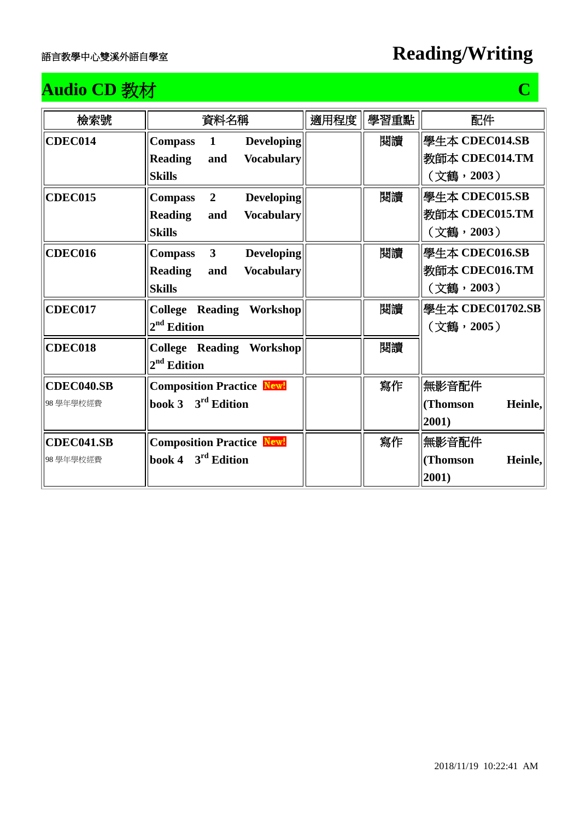## **Audio CD** 教材 **C**

| 檢索號            | 資料名稱                                                  | 適用程度 | 學習重點 | 配件                  |
|----------------|-------------------------------------------------------|------|------|---------------------|
| CDEC014        | <b>Compass</b><br>$\mathbf{1}$<br><b>Developing</b>   |      | 閲讀   | 學生本 CDEC014.SB      |
|                | <b>Reading</b><br><b>Vocabulary</b><br>and            |      |      | 教師本 CDEC014.TM      |
|                | <b>Skills</b>                                         |      |      | (文鶴, 2003)          |
| <b>CDEC015</b> | <b>Compass</b><br>$\overline{2}$<br><b>Developing</b> |      | 閲讀   | 學生本 CDEC015.SB      |
|                | <b>Reading</b><br><b>Vocabulary</b><br>and            |      |      | 教師本 CDEC015.TM      |
|                | <b>Skills</b>                                         |      |      | (文鶴,2003)           |
| <b>CDEC016</b> | $\mathbf{3}$<br><b>Compass</b><br><b>Developing</b>   |      | 閲讀   | 學生本 CDEC016.SB      |
|                | <b>Reading</b><br><b>Vocabulary</b><br>and            |      |      | 教師本 CDEC016.TM      |
|                | <b>Skills</b>                                         |      |      | (文鶴,2003)           |
| <b>CDEC017</b> | College Reading Workshop                              |      | 閲讀   | 學生本 CDEC01702.SB    |
|                | $2nd$ Edition                                         |      |      | (文鶴, 2005)          |
| <b>CDEC018</b> | College Reading Workshop                              |      | 閲讀   |                     |
|                | $2nd$ Edition                                         |      |      |                     |
| CDEC040.SB     | <b>Composition Practice New!</b>                      |      | 寫作   | 無影音配件               |
| 98學年學校經費       | book $3^{rd}$ Edition                                 |      |      | (Thomson<br>Heinle, |
|                |                                                       |      |      | 2001)               |
| CDEC041.SB     | <b>Composition Practice New!</b>                      |      | 寫作   | 無影音配件               |
| 98學年學校經費       | book 4 $3rd$ Edition                                  |      |      | (Thomson<br>Heinle, |
|                |                                                       |      |      | 2001)               |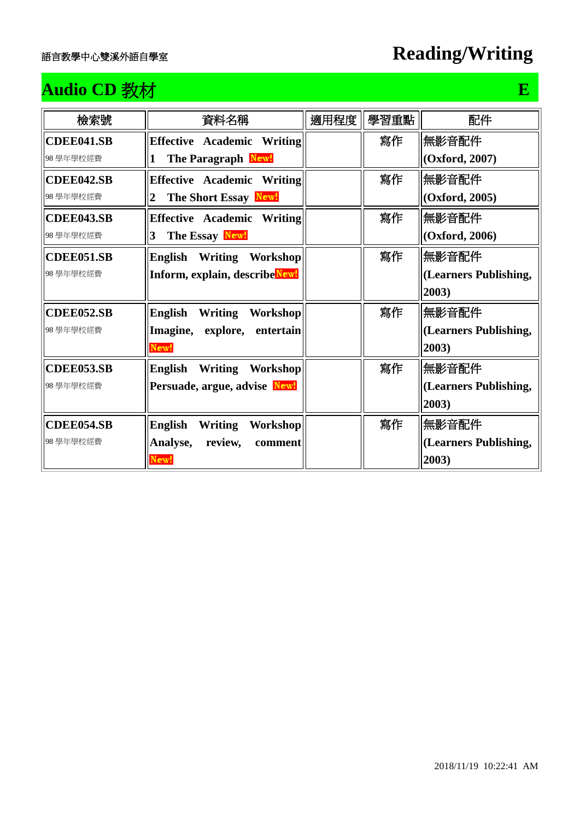## **Audio CD 教材 E E E E E E**

| 檢索號               | 資料名稱                                         | 適用程度 | 學習重點 | 配件                    |
|-------------------|----------------------------------------------|------|------|-----------------------|
| <b>CDEE041.SB</b> | <b>Effective Academic Writing</b>            |      | 寫作   | 無影音配件                 |
| 98學年學校經費          | The Paragraph New!<br>1                      |      |      | (Oxford, 2007)        |
| <b>CDEE042.SB</b> | <b>Effective Academic Writing</b>            |      | 寫作   | 無影音配件                 |
| 98學年學校經費          | The Short Essay New!<br>$\overline{2}$       |      |      | (Oxford, 2005)        |
| <b>CDEE043.SB</b> | <b>Effective Academic Writing</b>            |      | 寫作   | 無影音配件                 |
| 98學年學校經費          | The Essay New!<br>3                          |      |      | (Oxford, 2006)        |
| <b>CDEE051.SB</b> | English Writing Workshop                     |      | 寫作   | 無影音配件                 |
| 98學年學校經費          | Inform, explain, describeNew!                |      |      | (Learners Publishing, |
|                   |                                              |      |      | 2003)                 |
| <b>CDEE052.SB</b> | <b>English</b><br>Writing<br><b>Workshop</b> |      | 寫作   | 無影音配件                 |
| 98學年學校經費          | Imagine,<br>explore,<br>entertain            |      |      | (Learners Publishing, |
|                   | New!                                         |      |      | 2003)                 |
| <b>CDEE053.SB</b> | <b>English</b><br>Writing Workshop           |      | 寫作   | 無影音配件                 |
| 98學年學校經費          | Persuade, argue, advise New!                 |      |      | (Learners Publishing, |
|                   |                                              |      |      | 2003)                 |
| <b>CDEE054.SB</b> | <b>English</b><br>Writing<br><b>Workshop</b> |      | 寫作   | 無影音配件                 |
| 98學年學校經費          | Analyse,<br>review,<br>comment               |      |      | (Learners Publishing, |
|                   | New!                                         |      |      | 2003)                 |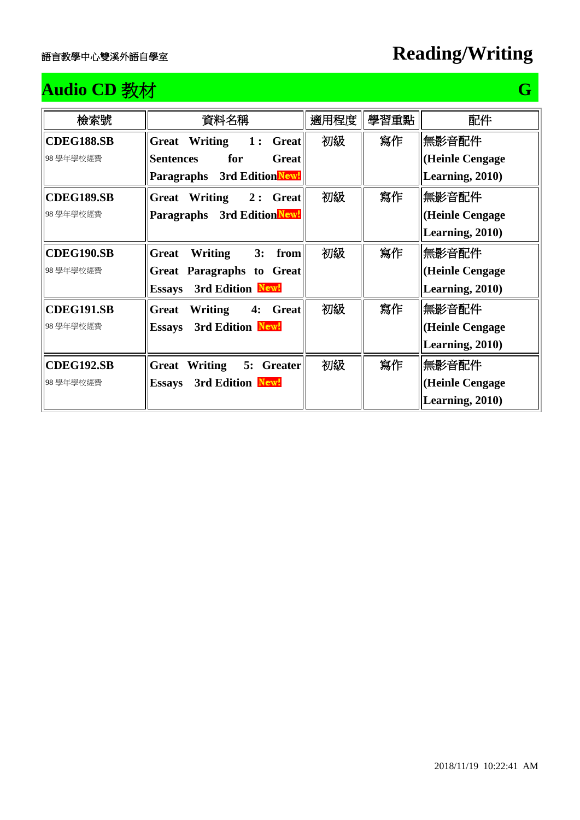## **Audio CD 教材** G  $\overline{\bullet}$  G  $\overline{\bullet}$  G  $\overline{\bullet}$  G  $\overline{\bullet}$  G  $\overline{\bullet}$  G  $\overline{\bullet}$  G  $\overline{\bullet}$

| 檢索號               | 資料名稱                                                 | 適用程度 | 學習重點 | 配件              |
|-------------------|------------------------------------------------------|------|------|-----------------|
| <b>CDEG188.SB</b> | 1:<br><b>Great</b><br><b>Writing</b><br><b>Great</b> | 初級   | 寫作   | 無影音配件           |
| 98學年學校經費          | for<br><b>Sentences</b><br><b>Great</b>              |      |      | (Heinle Cengage |
|                   | 3rd EditionNew!<br><b>Paragraphs</b>                 |      |      | Learning, 2010) |
| <b>CDEG189.SB</b> | <b>Great</b><br><b>Writing</b><br>2:<br><b>Great</b> | 初級   | 寫作   | 無影音配件           |
| 98學年學校經費          | 3rd EditionNew!<br>Paragraphs                        |      |      | (Heinle Cengage |
|                   |                                                      |      |      | Learning, 2010) |
| <b>CDEG190.SB</b> | <b>Great</b><br>3:<br><b>Writing</b><br>from         | 初級   | 寫作   | 無影音配件           |
| 98學年學校經費          | Paragraphs<br>to Great<br>Great                      |      |      | (Heinle Cengage |
|                   | 3rd Edition New!<br><b>Essays</b>                    |      |      | Learning, 2010) |
| CDEG191.SB        | <b>Great</b><br>4:<br>Great<br>Writing               | 初級   | 寫作   | 無影音配件           |
| 98學年學校經費          | 3rd Edition New!<br><b>Essays</b>                    |      |      | (Heinle Cengage |
|                   |                                                      |      |      | Learning, 2010) |
| <b>CDEG192.SB</b> | <b>Writing</b><br><b>Great</b><br>5: Greater         | 初級   | 寫作   | 無影音配件           |
| 98 學年學校經費         | 3rd Edition New!<br><b>Essays</b>                    |      |      | (Heinle Cengage |
|                   |                                                      |      |      | Learning, 2010) |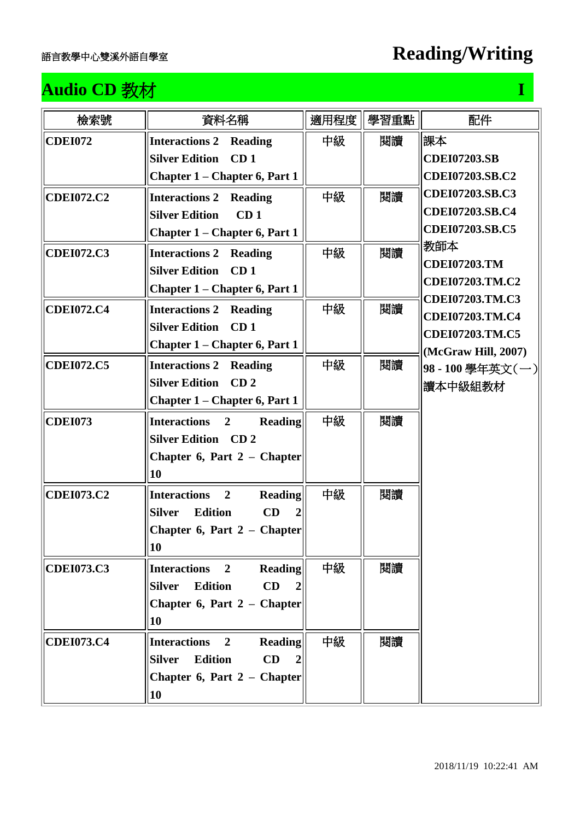## **Audio CD 教材** I **I I I I I I I I**

| 檢索號               | 資料名稱                                                    | 適用程度 | 學習重點 | 配件                            |
|-------------------|---------------------------------------------------------|------|------|-------------------------------|
| <b>CDEI072</b>    | <b>Interactions 2 Reading</b>                           | 中級   | 閲讀   | 課本                            |
|                   | <b>Silver Edition</b><br>CD <sub>1</sub>                |      |      | <b>CDEI07203.SB</b>           |
|                   | Chapter 1 – Chapter 6, Part 1                           |      |      | <b>CDEI07203.SB.C2</b>        |
| <b>CDEI072.C2</b> | <b>Interactions 2 Reading</b>                           | 中級   | 閲讀   | <b>CDEI07203.SB.C3</b>        |
|                   | <b>Silver Edition</b><br>CD <sub>1</sub>                |      |      | <b>CDEI07203.SB.C4</b>        |
|                   | Chapter 1 – Chapter 6, Part 1                           |      |      | <b>CDEI07203.SB.C5</b><br>教師本 |
| <b>CDEI072.C3</b> | <b>Interactions 2 Reading</b>                           | 中級   | 閲讀   | <b>CDEI07203.TM</b>           |
|                   | <b>Silver Edition</b><br>CD <sub>1</sub>                |      |      | <b>CDEI07203.TM.C2</b>        |
|                   | Chapter 1 – Chapter 6, Part 1                           |      |      | <b>CDEI07203.TM.C3</b>        |
| <b>CDEI072.C4</b> | <b>Interactions 2</b><br>Reading                        | 中級   | 閲讀   | <b>CDEI07203.TM.C4</b>        |
|                   | <b>Silver Edition</b><br>CD <sub>1</sub>                |      |      | <b>CDEI07203.TM.C5</b>        |
|                   | Chapter 1 – Chapter 6, Part 1                           |      |      | (McGraw Hill, 2007)           |
| <b>CDEI072.C5</b> | <b>Interactions 2 Reading</b>                           | 中級   | 閲讀   | 98-100學年英文(一)                 |
|                   | <b>Silver Edition</b><br>CD <sub>2</sub>                |      |      | 讀本中級組教材                       |
|                   | Chapter 1 – Chapter 6, Part 1                           |      |      |                               |
| <b>CDEI073</b>    | $2^{\circ}$<br><b>Interactions</b><br><b>Reading</b>    | 中級   | 閲讀   |                               |
|                   | <b>Silver Edition</b> CD 2                              |      |      |                               |
|                   | Chapter 6, Part 2 - Chapter                             |      |      |                               |
|                   | 10                                                      |      |      |                               |
| <b>CDEI073.C2</b> | $\overline{2}$<br><b>Interactions</b><br><b>Reading</b> | 中級   | 閲讀   |                               |
|                   | <b>Silver</b><br><b>Edition</b><br>CD<br>$\overline{2}$ |      |      |                               |
|                   | Chapter 6, Part $2 - Chapter$                           |      |      |                               |
|                   | 10                                                      |      |      |                               |
| <b>CDEI073.C3</b> | <b>Reading</b><br>Interactions 2                        | 中級   | 閲讀   |                               |
|                   | <b>Edition</b><br>CD<br><b>Silver</b><br>$\overline{2}$ |      |      |                               |
|                   | Chapter 6, Part $2$ – Chapter<br>10                     |      |      |                               |
|                   |                                                         |      |      |                               |
| <b>CDEI073.C4</b> | <b>Reading</b><br>Interactions 2                        | 中級   | 閲讀   |                               |
|                   | <b>Silver</b><br><b>Edition</b><br>CD<br>$\overline{2}$ |      |      |                               |
|                   | Chapter 6, Part $2 - Chapter$<br>10                     |      |      |                               |
|                   |                                                         |      |      |                               |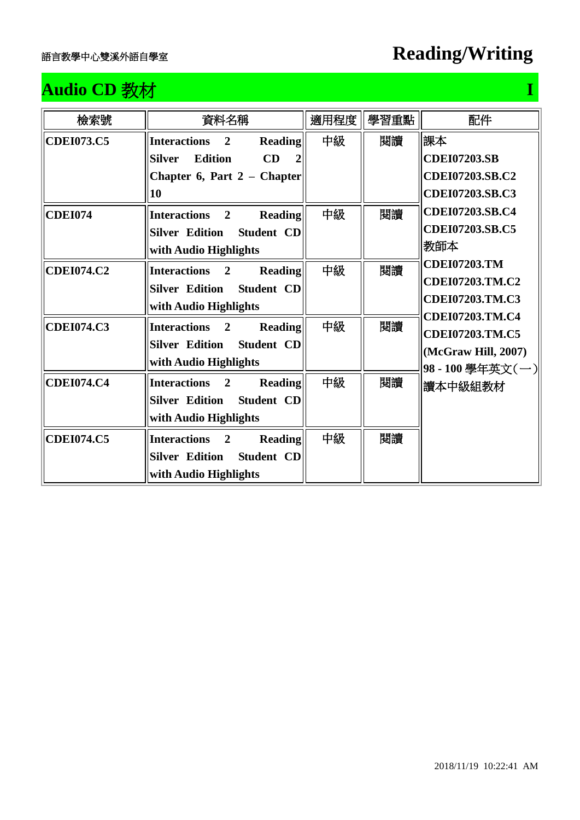## **Audio CD 教材** I **I I according to the U and I amount of T**

| 檢索號               | 資料名稱                                                                                                                                                      | 適用程度 | 學習重點 | 配件                                                                                       |
|-------------------|-----------------------------------------------------------------------------------------------------------------------------------------------------------|------|------|------------------------------------------------------------------------------------------|
| <b>CDEI073.C5</b> | <b>Interactions</b><br>$\overline{2}$<br><b>Reading</b><br><b>Silver</b><br><b>Edition</b><br>CD<br>$\overline{2}$<br>Chapter 6, Part $2$ – Chapter<br>10 | 中級   | 閲讀   | 課本<br><b>CDEI07203.SB</b><br><b>CDEI07203.SB.C2</b><br><b>CDEI07203.SB.C3</b>            |
| <b>CDEI074</b>    | <b>Reading</b><br>$\overline{2}$<br><b>Interactions</b><br><b>Silver Edition</b><br>Student CD<br>with Audio Highlights                                   | 中級   | 閱讀   | <b>CDEI07203.SB.C4</b><br><b>CDEI07203.SB.C5</b><br>教師本                                  |
| <b>CDEI074.C2</b> | Interactions 2<br><b>Reading</b><br><b>Silver Edition</b><br><b>Student CD</b><br>with Audio Highlights                                                   | 中級   | 閲讀   | <b>CDEI07203.TM</b><br><b>CDEI07203.TM.C2</b><br><b>CDEI07203.TM.C3</b>                  |
| <b>CDEI074.C3</b> | <b>Interactions</b><br>$\overline{2}$<br><b>Reading</b><br><b>Silver Edition</b><br><b>Student CD</b><br>with Audio Highlights                            | 中級   | 閲讀   | <b>CDEI07203.TM.C4</b><br><b>CDEI07203.TM.C5</b><br>(McGraw Hill, 2007)<br>98-100學年英文(一) |
| <b>CDEI074.C4</b> | <b>Interactions</b><br>$\overline{2}$<br>Reading<br><b>Silver Edition</b><br><b>Student CD</b><br>with Audio Highlights                                   | 中級   | 閱讀   | 讀本中級組教材                                                                                  |
| <b>CDEI074.C5</b> | <b>Interactions</b><br><b>Reading</b><br>$\overline{2}$<br><b>Student CD</b><br><b>Silver Edition</b><br>with Audio Highlights                            | 中級   | 閲讀   |                                                                                          |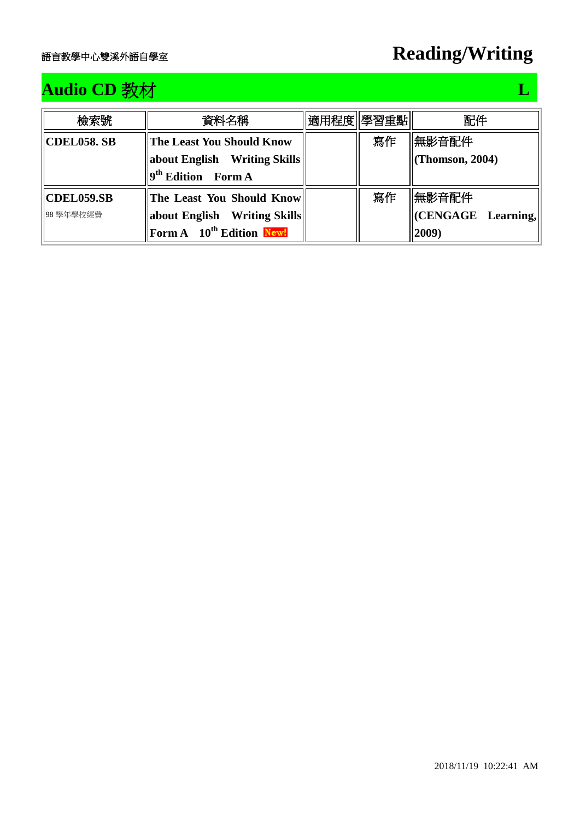# **Audio CD 教材 <br>
L L**

| 檢索號         | 資料名稱                                 | 適用程度  學習重點 | 配件                      |
|-------------|--------------------------------------|------------|-------------------------|
| CDEL058. SB | <b>The Least You Should Know</b>     | 寫作         | 無影音配件                   |
|             | <b>about English</b> Writing Skills  |            | (Thomson, 2004)         |
|             | $9th$ Edition Form A                 |            |                         |
| CDEL059.SB  | The Least You Should Know            | 寫作         | 無影音配件                   |
| 98 學年學校經費   | <b>about English</b> Writing Skills  |            | $\ $ (CENGAGE Learning, |
|             | Form A 10 <sup>th</sup> Edition New! |            | 2009)                   |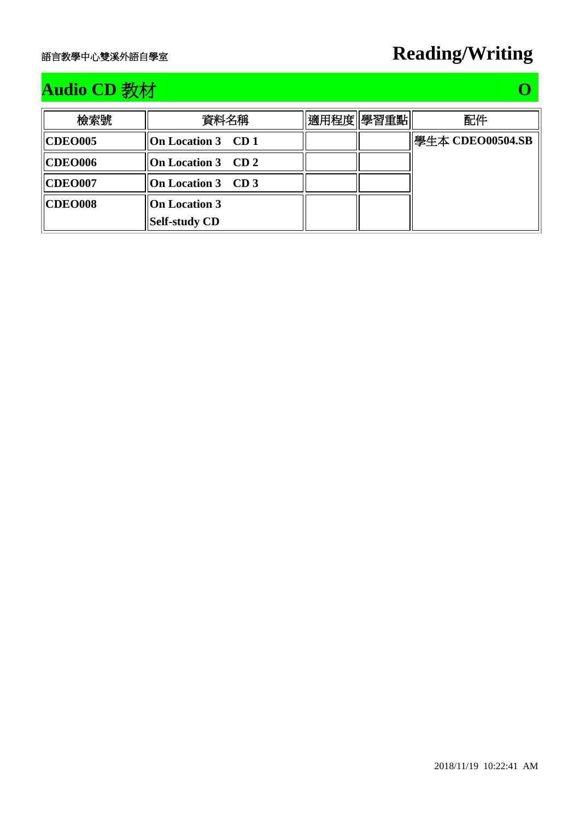## **Audio CD** 教材 **O**

| 檢索號            | 資料名稱                                                       | 適用程度  學習重點 | 配件                       |
|----------------|------------------------------------------------------------|------------|--------------------------|
| <b>CDEO005</b> | $\mathbf{  On}\text{ Location }3\quad\mathbf{CD}\text{ 1}$ |            | <b> 學生本 CDEO00504.SB</b> |
| CDEO006        | $\mathbf{On}$ Location 3 $\mathbf{CD}$ 2                   |            |                          |
| CDEO 007       | $\mathbf{On}$ Location 3 $\mathbf{CD}$ 3                   |            |                          |
| CDEO008        | $\vert$ On Location 3                                      |            |                          |
|                | <b>Self-study CD</b>                                       |            |                          |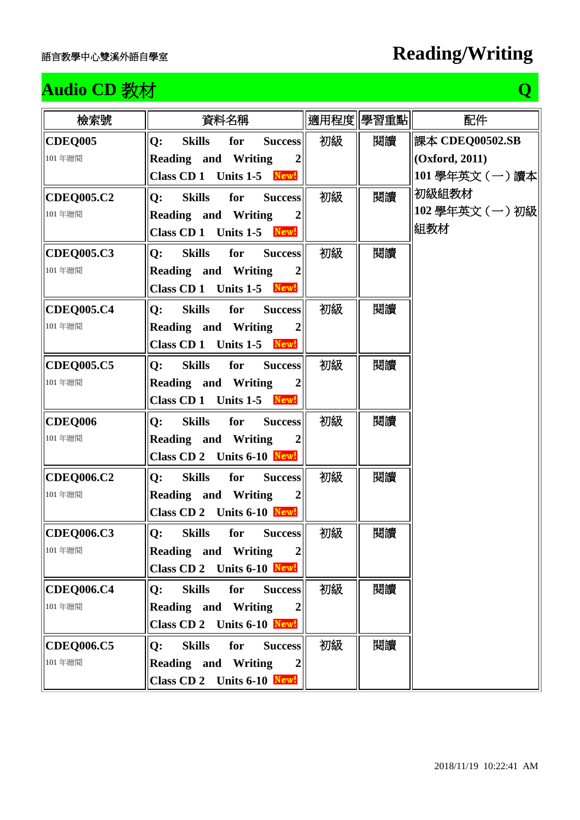## **Audio CD** 教材 **Q**

| 檢索號               | 資料名稱                                               | 適用程度 學習重點 | 配件              |
|-------------------|----------------------------------------------------|-----------|-----------------|
| CDEQ005           | <b>Skills</b><br>for<br><b>Success</b><br>Q:       | 閲讀<br>初級  | 課本 CDEQ00502.SB |
| 101年贈閱            | <b>Reading and Writing</b>                         |           | (Oxford, 2011)  |
|                   | Class CD 1 Units 1-5 New!                          |           | 101學年英文(一)讀本    |
| <b>CDEQ005.C2</b> | Q:<br>Skills for<br><b>Success</b>                 | 初級<br>閲讀  | 初級組教材           |
| 101年贈閱            | Reading and Writing<br>$\overline{2}$              |           | 102學年英文(一)初級    |
|                   | Class CD 1 Units 1-5 New!                          |           | 組教材             |
| <b>CDEQ005.C3</b> | Q:<br>Skills<br><b>Success</b><br>for              | 初級<br>閲讀  |                 |
| 101年贈閱            | <b>Reading and Writing</b><br>$\overline{2}$       |           |                 |
|                   | Class CD 1 Units 1-5 New!                          |           |                 |
| <b>CDEQ005.C4</b> | $Q$ :<br><b>Skills</b> for Success                 | 初級<br>閲讀  |                 |
| 101年贈閱            | Reading and Writing                                |           |                 |
|                   | Class CD 1 Units 1-5 New!                          |           |                 |
| <b>CDEQ005.C5</b> | Q:<br>Skills for<br><b>Success</b>                 | 初級<br>閱讀  |                 |
| 101年贈閱            | Reading and Writing                                |           |                 |
|                   | Class CD 1 Units 1-5 New!                          |           |                 |
| <b>CDEQ006</b>    | Q:<br>Skills for<br><b>Success</b>                 | 閲讀<br>初級  |                 |
| 101年贈閱            | Reading and Writing                                |           |                 |
|                   | Class CD 2 Units 6-10 New!                         |           |                 |
| <b>CDEQ006.C2</b> | Q: Skills for Success                              | 閲讀<br>初級  |                 |
| 101年贈閱            | Reading and Writing<br>$\boldsymbol{2}$            |           |                 |
|                   | Class CD 2 Units 6-10 New!                         |           |                 |
| <b>CDEQ006.C3</b> | Q:<br><b>Skills</b><br>for<br>Success <sup>1</sup> | 閲讀<br>初級  |                 |
| 101年贈閱            | Reading and Writing<br>$\overline{2}$              |           |                 |
|                   | Class CD 2 Units 6-10 New!                         |           |                 |
| <b>CDEQ006.C4</b> | <b>Skills</b><br>Q:<br>for<br><b>Success</b>       | 閱讀<br>初級  |                 |
| 101年贈閱            | Reading and Writing                                |           |                 |
|                   | Class CD 2 Units 6-10 New!                         |           |                 |
| <b>CDEQ006.C5</b> | $Q$ :<br><b>Skills</b><br><b>Success</b><br>for    | 初級<br>閲讀  |                 |
| 101年贈閱            | Reading and Writing<br>$\overline{2}$              |           |                 |
|                   | Class CD 2 Units 6-10 New!                         |           |                 |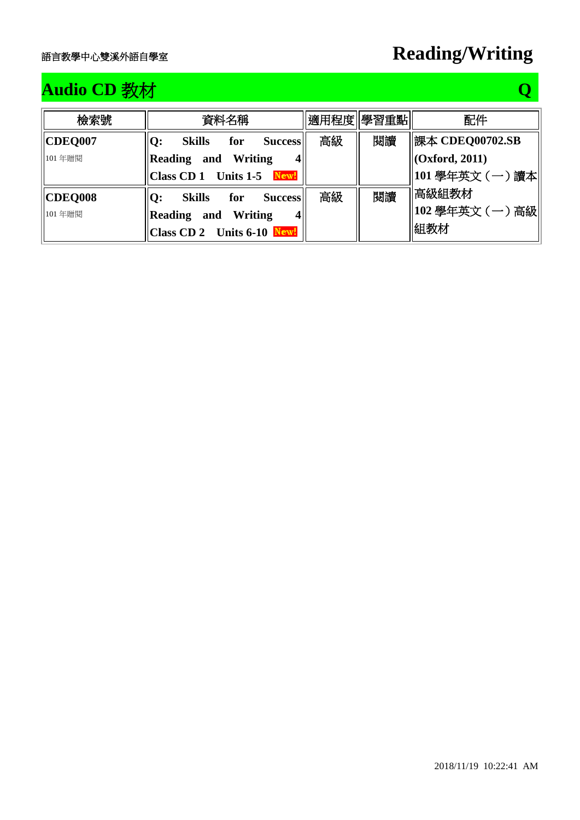## **Audio CD** 教材 **Q**

| 檢索號                  | 資料名稱                                                | 適用程度  學習重點 |    | 配件                                       |
|----------------------|-----------------------------------------------------|------------|----|------------------------------------------|
| $\vert\vert$ CDEQ007 | for<br><b>Skills</b><br><b>Success</b><br> 0:       | 高級         | 閲讀 | 課本 CDEQ00702.SB                          |
| 101年贈閱               | Reading and Writing<br>$\mathbf 4$                  |            |    | $\vert$ (Oxford, 2011)                   |
|                      | New!<br>$ Class CD 1$ Units 1-5                     |            |    | $\left\ 101\right.$ 學年英文 (一) 讀本 $\left $ |
| CDEQ008              | for<br><b>O:</b><br><b>Skills</b><br><b>Success</b> | 高級         | 閲讀 | 高級組教材                                    |
| 101年贈閱               | <b>Reading and Writing</b><br>4                     |            |    | 102 學年英文 (一) 高級                          |
|                      | Class CD 2 Units 6-10 New!                          |            |    | 組教材                                      |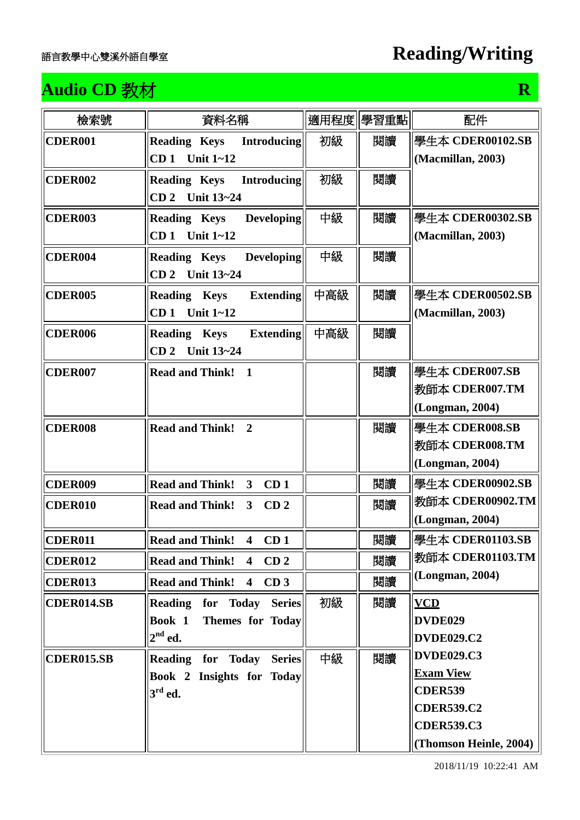## Audio CD 教材

| 檢索號               | 資料名稱                                                        | 適用程度 | 學習重點 | 配件                                  |
|-------------------|-------------------------------------------------------------|------|------|-------------------------------------|
| <b>CDER001</b>    | <b>Reading Keys</b><br><b>Introducing</b>                   | 初級   | 閲讀   | 學生本 CDER00102.SB                    |
|                   | CD <sub>1</sub><br>Unit $1 - 12$                            |      |      | (Macmillan, 2003)                   |
| <b>CDER002</b>    | <b>Reading Keys</b><br><b>Introducing</b>                   | 初級   | 閲讀   |                                     |
|                   | $CD 2$ Unit $13-24$                                         |      |      |                                     |
| <b>CDER003</b>    | <b>Developing</b><br><b>Reading Keys</b>                    | 中級   | 閲讀   | 學生本 CDER00302.SB                    |
|                   | CD <sub>1</sub><br>Unit $1 - 12$                            |      |      | (Macmillan, 2003)                   |
| <b>CDER004</b>    | <b>Developing</b><br><b>Reading Keys</b>                    | 中級   | 閲讀   |                                     |
|                   | CD <sub>2</sub><br>Unit 13~24                               |      |      |                                     |
| <b>CDER005</b>    | <b>Reading Keys</b><br><b>Extending</b>                     | 中高級  | 閱讀   | 學生本 CDER00502.SB                    |
|                   | CD <sub>1</sub><br><b>Unit 1~12</b>                         |      |      | (Macmillan, 2003)                   |
| <b>CDER006</b>    | <b>Reading Keys</b><br><b>Extending</b>                     | 中高級  | 閲讀   |                                     |
|                   | CD <sub>2</sub><br>Unit 13~24                               |      |      |                                     |
| <b>CDER007</b>    | <b>Read and Think!</b><br>1                                 |      | 閱讀   | 學生本 CDER007.SB                      |
|                   |                                                             |      |      | 教師本 CDER007.TM                      |
|                   |                                                             |      |      | (Longman, 2004)                     |
| <b>CDER008</b>    | <b>Read and Think!</b><br>$\overline{2}$                    |      | 閲讀   | 學生本 CDER008.SB                      |
|                   |                                                             |      |      | 教師本 CDER008.TM                      |
|                   |                                                             |      |      | (Longman, 2004)                     |
| <b>CDER009</b>    | <b>Read and Think!</b><br>CD <sub>1</sub><br>3              |      | 閲讀   | 學生本 CDER00902.SB                    |
| <b>CDER010</b>    | <b>Read and Think!</b><br>CD <sub>2</sub><br>3              |      | 閲讀   | 教師本 CDER00902.TM                    |
|                   |                                                             |      |      | (Longman, 2004)                     |
| CDER011           | CD <sub>1</sub><br><b>Read and Think!</b><br>4              |      | 閲讀   | 學生本 CDER01103.SB                    |
| CDER012           | Read and Think! 4 CD 2                                      |      | 閲讀   | 教師本 CDER01103.TM<br>(Longman, 2004) |
| CDER013           | <b>Read and Think!</b><br>CD <sub>3</sub><br>$\overline{4}$ |      | 閲讀   |                                     |
| <b>CDER014.SB</b> | Reading for Today Series                                    | 初級   | 閱讀   | <b>VCD</b>                          |
|                   | <b>Book 1 Themes for Today</b>                              |      |      | DVDE029                             |
|                   | $2nd$ ed.                                                   |      |      | <b>DVDE029.C2</b>                   |
| <b>CDER015.SB</b> | Reading for Today Series                                    | 中級   | 閲讀   | <b>DVDE029.C3</b>                   |
|                   | Book 2 Insights for Today                                   |      |      | <b>Exam View</b>                    |
|                   | $3rd$ ed.                                                   |      |      | <b>CDER539</b><br><b>CDER539.C2</b> |
|                   |                                                             |      |      | <b>CDER539.C3</b>                   |
|                   |                                                             |      |      | (Thomson Heinle, 2004)              |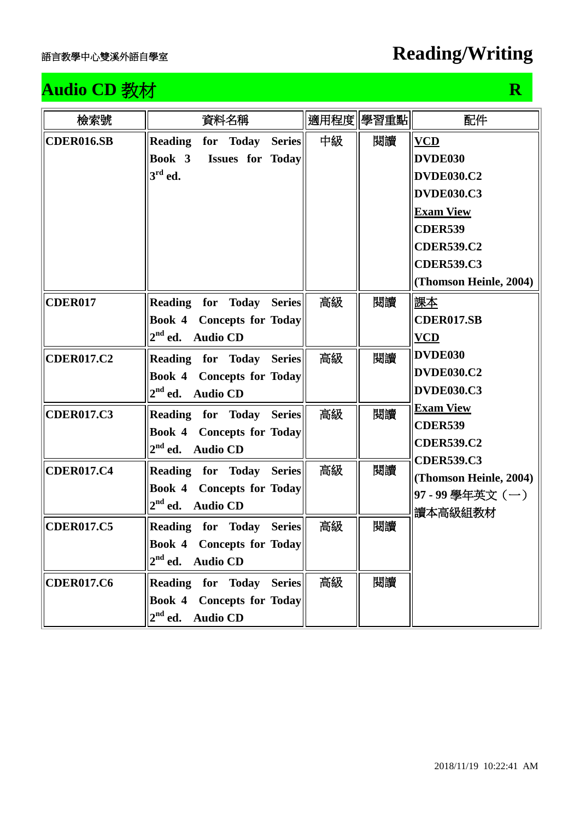## **Audio CD** 教材 **R**<br> **R**

| 檢索號               | 資料名稱                               |    | 適用程度 學習重點 | 配件                     |
|-------------------|------------------------------------|----|-----------|------------------------|
| <b>CDER016.SB</b> | Reading for Today<br><b>Series</b> | 中級 | 閱讀        | <b>VCD</b>             |
|                   | Book 3 Issues for Today            |    |           | DVDE030                |
|                   | $3rd$ ed.                          |    |           | <b>DVDE030.C2</b>      |
|                   |                                    |    |           | <b>DVDE030.C3</b>      |
|                   |                                    |    |           | <b>Exam View</b>       |
|                   |                                    |    |           | <b>CDER539</b>         |
|                   |                                    |    |           | <b>CDER539.C2</b>      |
|                   |                                    |    |           | <b>CDER539.C3</b>      |
|                   |                                    |    |           | (Thomson Heinle, 2004) |
| <b>CDER017</b>    | Reading for Today Series           | 高級 | 閱讀        | <u>課本</u>              |
|                   | <b>Book 4 Concepts for Today</b>   |    |           | <b>CDER017.SB</b>      |
|                   | $2nd$ ed. Audio CD                 |    |           | <b>VCD</b>             |
| <b>CDER017.C2</b> | Reading for Today Series           | 高級 | 閲讀        | DVDE030                |
|                   | <b>Book 4 Concepts for Today</b>   |    |           | <b>DVDE030.C2</b>      |
|                   | $2nd$ ed.<br><b>Audio CD</b>       |    |           | <b>DVDE030.C3</b>      |
| <b>CDER017.C3</b> | Reading for Today Series           | 高級 | 閱讀        | <b>Exam View</b>       |
|                   | <b>Book 4 Concepts for Today</b>   |    |           | <b>CDER539</b>         |
|                   | $2nd$ ed.<br><b>Audio CD</b>       |    |           | <b>CDER539.C2</b>      |
| <b>CDER017.C4</b> | Reading for Today Series           | 高級 | 閲讀        | <b>CDER539.C3</b>      |
|                   | <b>Book 4 Concepts for Today</b>   |    |           | (Thomson Heinle, 2004) |
|                   | $2nd$ ed.<br><b>Audio CD</b>       |    |           | 97 - 99 學年英文 (一)       |
| <b>CDER017.C5</b> | Reading for Today Series           | 高級 | 閲讀        | 讀本高級組教材                |
|                   | <b>Book 4 Concepts for Today</b>   |    |           |                        |
|                   | $2nd$ ed. Audio CD                 |    |           |                        |
|                   |                                    |    |           |                        |
| <b>CDER017.C6</b> | Reading for Today Series           | 高級 | 閲讀        |                        |
|                   | <b>Book 4 Concepts for Today</b>   |    |           |                        |
|                   | $2nd$ ed. Audio CD                 |    |           |                        |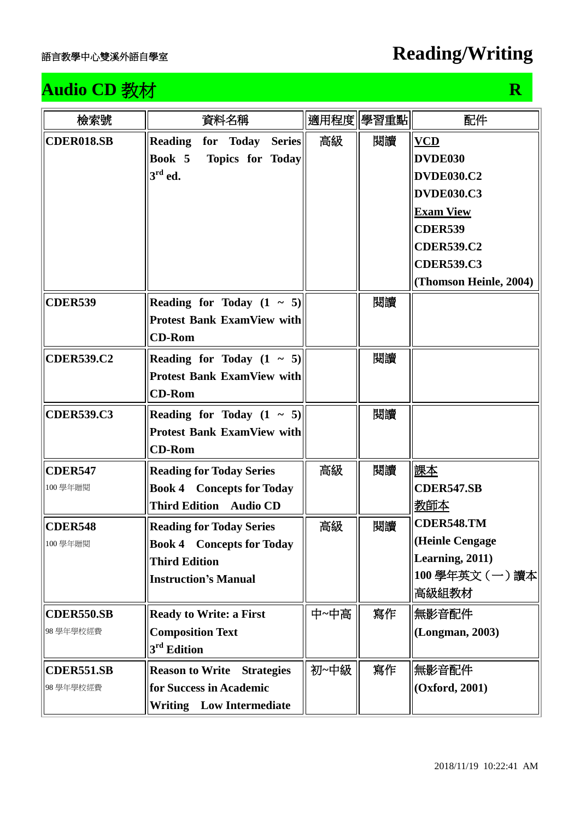## **Audio CD** 教材 **R**<br> **R**

| 檢索號                           | 資料名稱                                                                                                                       |      | 適用程度 學習重點 | 配件                                                                                                                                                                        |
|-------------------------------|----------------------------------------------------------------------------------------------------------------------------|------|-----------|---------------------------------------------------------------------------------------------------------------------------------------------------------------------------|
| <b>CDER018.SB</b>             | Reading for Today<br><b>Series</b><br>Book 5<br><b>Topics for Today</b><br>$3^{\rm rd}$ ed.                                | 高級   | 閱讀        | <b>VCD</b><br>DVDE030<br><b>DVDE030.C2</b><br><b>DVDE030.C3</b><br><b>Exam View</b><br><b>CDER539</b><br><b>CDER539.C2</b><br><b>CDER539.C3</b><br>(Thomson Heinle, 2004) |
| <b>CDER539</b>                | Reading for Today $(1 \sim 5)$<br><b>Protest Bank ExamView with</b><br><b>CD-Rom</b>                                       |      | 閱讀        |                                                                                                                                                                           |
| <b>CDER539.C2</b>             | Reading for Today $(1 \sim 5)$<br><b>Protest Bank ExamView with</b><br><b>CD-Rom</b>                                       |      | 閱讀        |                                                                                                                                                                           |
| <b>CDER539.C3</b>             | Reading for Today $(1 \sim 5)$<br><b>Protest Bank ExamView with</b><br><b>CD-Rom</b>                                       |      | 閲讀        |                                                                                                                                                                           |
| <b>CDER547</b><br>100學年贈閱     | <b>Reading for Today Series</b><br><b>Book 4 Concepts for Today</b><br>Third Edition Audio CD                              | 高級   | 閱讀        | 課本<br><b>CDER547.SB</b><br><u>教師本</u>                                                                                                                                     |
| <b>CDER548</b><br>100學年贈閱     | <b>Reading for Today Series</b><br><b>Book 4 Concepts for Today</b><br><b>Third Edition</b><br><b>Instruction's Manual</b> | 高級   | 閱讀        | <b>CDER548.TM</b><br><b>Heinle Cengage</b><br>Learning, 2011)<br>100學年英文 (一) 讀本<br>高級組教材                                                                                  |
| <b>CDER550.SB</b><br>98學年學校經費 | <b>Ready to Write: a First</b><br><b>Composition Text</b><br>3 <sup>rd</sup> Edition                                       | 中~中高 | 寫作        | 無影音配件<br>(Longman, 2003)                                                                                                                                                  |
| <b>CDER551.SB</b><br>98學年學校經費 | <b>Reason to Write Strategies</b><br>for Success in Academic<br><b>Writing</b> Low Intermediate                            | 初~中級 | 寫作        | 無影音配件<br>(Oxford, 2001)                                                                                                                                                   |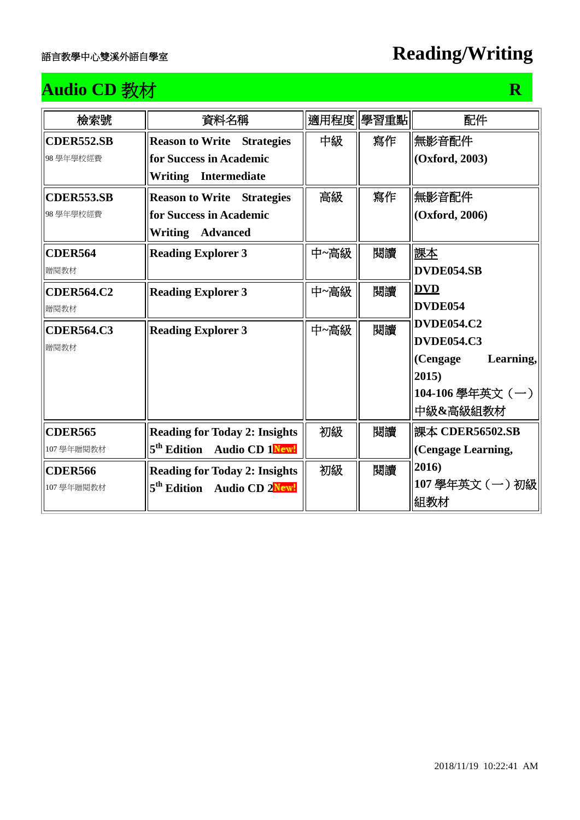## **Audio CD** 教材 **R**<br> **R**

| $\mathcal{L}(\mathcal{L})$ and $\mathcal{L}(\mathcal{L})$ and $\mathcal{L}(\mathcal{L})$ and $\mathcal{L}(\mathcal{L})$ |  |
|-------------------------------------------------------------------------------------------------------------------------|--|

| 檢索號               | 資料名稱                                   | 適用程度 | 學習重點 | 配件                    |
|-------------------|----------------------------------------|------|------|-----------------------|
| <b>CDER552.SB</b> | <b>Reason to Write Strategies</b>      | 中級   | 寫作   | 無影音配件                 |
| 98 學年學校經費         | for Success in Academic                |      |      | (Oxford, 2003)        |
|                   | Writing Intermediate                   |      |      |                       |
| <b>CDER553.SB</b> | <b>Reason to Write Strategies</b>      | 高級   | 寫作   | 無影音配件                 |
| 98學年學校經費          | for Success in Academic                |      |      | (Oxford, 2006)        |
|                   | <b>Writing Advanced</b>                |      |      |                       |
| <b>CDER564</b>    | <b>Reading Explorer 3</b>              | 中~高級 | 閲讀   | 課本                    |
| 贈閱教材              |                                        |      |      | DVDE054.SB            |
| <b>CDER564.C2</b> | <b>Reading Explorer 3</b>              | 中~高級 | 閲讀   | <b>DVD</b>            |
| 贈閱教材              |                                        |      |      | DVDE054               |
| <b>CDER564.C3</b> | <b>Reading Explorer 3</b>              | 中~高級 | 閲讀   | <b>DVDE054.C2</b>     |
| 贈閱教材              |                                        |      |      | <b>DVDE054.C3</b>     |
|                   |                                        |      |      | (Cengage<br>Learning, |
|                   |                                        |      |      | 2015)                 |
|                   |                                        |      |      | 104-106 學年英文 (一)      |
|                   |                                        |      |      | 中級&高級組教材              |
| <b>CDER565</b>    | <b>Reading for Today 2: Insights</b>   | 初級   | 閲讀   | 課本 CDER56502.SB       |
| 107學年贈閱教材         | 5 <sup>th</sup> Edition Audio CD 1New! |      |      | (Cengage Learning,    |
| <b>CDER566</b>    | <b>Reading for Today 2: Insights</b>   | 初級   | 閲讀   | 2016)                 |
| 107學年贈閱教材         | 5 <sup>th</sup> Edition Audio CD 2New! |      |      | 107學年英文(一)初級          |
|                   |                                        |      |      | 組教材                   |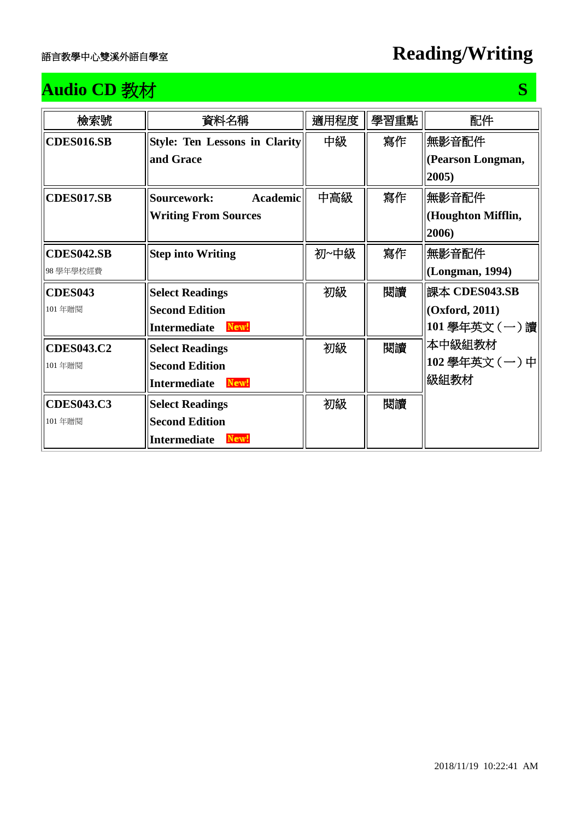## **Audio CD 教材 S**

| 檢索號               | 資料名稱                                 | 適用程度 | 學習重點 | 配件                 |
|-------------------|--------------------------------------|------|------|--------------------|
| <b>CDES016.SB</b> | <b>Style: Ten Lessons in Clarity</b> | 中級   | 寫作   | 無影音配件              |
|                   | and Grace                            |      |      | (Pearson Longman,  |
|                   |                                      |      |      | 2005)              |
| <b>CDES017.SB</b> | <b>Academic</b><br>Sourcework:       | 中高級  | 寫作   | 無影音配件              |
|                   | <b>Writing From Sources</b>          |      |      | (Houghton Mifflin, |
|                   |                                      |      |      | 2006)              |
| <b>CDES042.SB</b> | <b>Step into Writing</b>             | 初~中級 | 寫作   | 無影音配件              |
| 98學年學校經費          |                                      |      |      | (Longman, 1994)    |
| <b>CDES043</b>    | <b>Select Readings</b>               | 初級   | 閲讀   | 課本 CDES043.SB      |
| 101年贈閱            | <b>Second Edition</b>                |      |      | (Oxford, 2011)     |
|                   | New!<br><b>Intermediate</b>          |      |      | 101學年英文(一)讀        |
| <b>CDES043.C2</b> | <b>Select Readings</b>               | 初級   | 閲讀   | 本中級組教材             |
| 101年贈閱            | <b>Second Edition</b>                |      |      | 102 學年英文(一)中       |
|                   | New!<br><b>Intermediate</b>          |      |      | 級組教材               |
| <b>CDES043.C3</b> | <b>Select Readings</b>               | 初級   | 閱讀   |                    |
| 101年贈閱            | <b>Second Edition</b>                |      |      |                    |
|                   | <b>Intermediate</b><br>New!          |      |      |                    |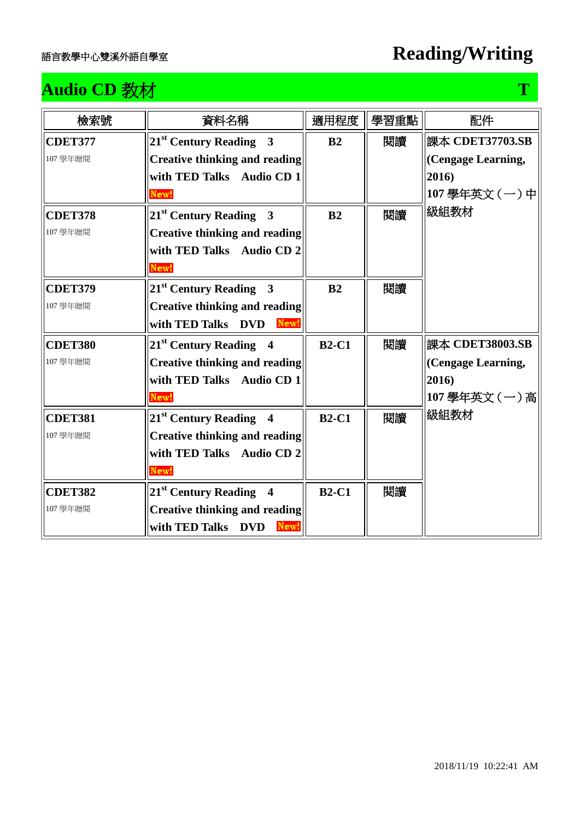# **Audio CD 教材 T Audio CD 教材 T Audio CD**

| 檢索號            | 資料名稱                                 | 適用程度           | 學習重點 | 配件                 |
|----------------|--------------------------------------|----------------|------|--------------------|
| <b>CDET377</b> | 21 <sup>st</sup> Century Reading 3   | B2             | 閱讀   | 課本 CDET37703.SB    |
| 107 學年贈閱       | Creative thinking and reading        |                |      | (Cengage Learning, |
|                | with TED Talks Audio CD 1            |                |      | 2016)              |
|                | New!                                 |                |      | 107 學年英文 (一) 中     |
| <b>CDET378</b> | 21 <sup>st</sup> Century Reading 3   | B <sub>2</sub> | 閲讀   | 級組教材               |
| 107 學年贈閱       | <b>Creative thinking and reading</b> |                |      |                    |
|                | with TED Talks Audio CD 2            |                |      |                    |
|                | New!                                 |                |      |                    |
| <b>CDET379</b> | 21 <sup>st</sup> Century Reading 3   | B2             | 閱讀   |                    |
| 107 學年贈閱       | <b>Creative thinking and reading</b> |                |      |                    |
|                | with TED Talks DVD<br>New!           |                |      |                    |
| <b>CDET380</b> | 21 <sup>st</sup> Century Reading 4   | <b>B2-C1</b>   | 閱讀   | 課本 CDET38003.SB    |
| 107 學年贈閱       | Creative thinking and reading        |                |      | (Cengage Learning, |
|                | with TED Talks Audio CD 1            |                |      | 2016)              |
|                | New!                                 |                |      | 107 學年英文 (一) 高     |
| <b>CDET381</b> | 21 <sup>st</sup> Century Reading 4   | <b>B2-C1</b>   | 閱讀   | 級組教材               |
| 107 學年贈閱       | Creative thinking and reading        |                |      |                    |
|                | with TED Talks Audio CD 2            |                |      |                    |
|                | New!                                 |                |      |                    |
| <b>CDET382</b> | 21 <sup>st</sup> Century Reading 4   | <b>B2-C1</b>   | 閱讀   |                    |
| 107 學年贈閱       | <b>Creative thinking and reading</b> |                |      |                    |
|                | New!<br>with TED Talks DVD           |                |      |                    |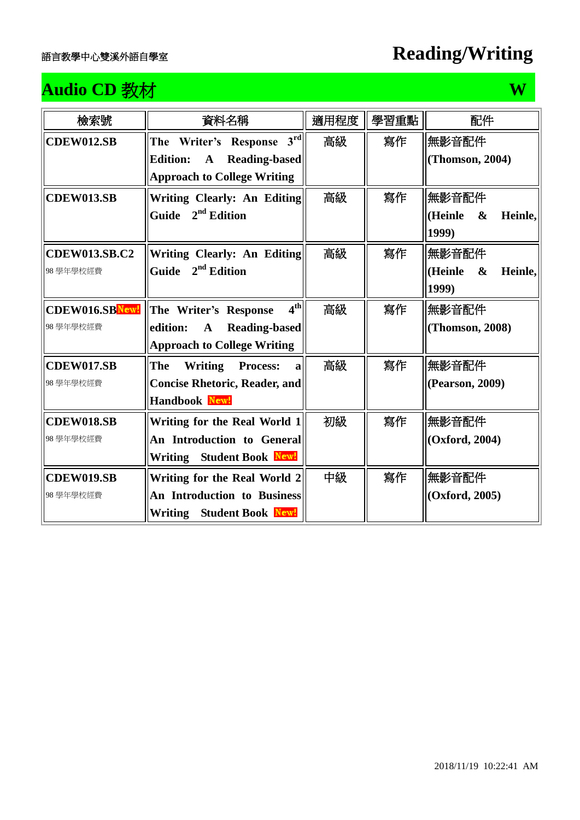## **Audio CD 教材** W **W 2008年 2008年 2009年 2009年 2009年 2009年 2009年 2009年 2009年 2009年 2009年 2009年 2009年 2009年 2009年 2009年 2009年 2009年 2009年 2009年 2009年 2009年 2009年 2009年 2009年 2009年 2009年 2009年 2009年 2009年 2009年 2009年 2009年 2009**

| 檢索號            | 資料名稱                                                            | 適用程度 | 學習重點 | 配件                                          |
|----------------|-----------------------------------------------------------------|------|------|---------------------------------------------|
| CDEW012.SB     | $3^{\rm rd}$<br>The Writer's Response                           | 高級   | 寫作   | 無影音配件                                       |
|                | <b>Edition:</b><br><b>Reading-based</b><br>$\mathbf A$          |      |      | (Thomson, 2004)                             |
|                | <b>Approach to College Writing</b>                              |      |      |                                             |
| CDEW013.SB     | Writing Clearly: An Editing                                     | 高級   | 寫作   | 無影音配件                                       |
|                | Guide 2 <sup>nd</sup> Edition                                   |      |      | (Heinle<br>Heinle,<br>&                     |
|                |                                                                 |      |      | 1999)                                       |
| CDEW013.SB.C2  | Writing Clearly: An Editing                                     | 高級   | 寫作   | 無影音配件                                       |
| 98學年學校經費       | Guide 2 <sup>nd</sup> Edition                                   |      |      | (Heinle<br>Heinle,<br>$\boldsymbol{\alpha}$ |
|                |                                                                 |      |      | 1999)                                       |
| CDEW016.SBNew! | 4 <sup>th</sup><br>The Writer's Response                        | 高級   | 寫作   | 無影音配件                                       |
| 98 學年學校經費      | edition:<br><b>Reading-based</b><br>$\mathbf A$                 |      |      | (Thomson, 2008)                             |
|                | <b>Approach to College Writing</b>                              |      |      |                                             |
| CDEW017.SB     | <b>The</b><br><b>Writing</b><br><b>Process:</b><br>$\mathbf{a}$ | 高級   | 寫作   | 無影音配件                                       |
| 98學年學校經費       | <b>Concise Rhetoric, Reader, and</b>                            |      |      | (Pearson, 2009)                             |
|                | Handbook New!                                                   |      |      |                                             |
| CDEW018.SB     | Writing for the Real World 1                                    | 初級   | 寫作   | 無影音配件                                       |
| 98學年學校經費       | An Introduction to General                                      |      |      | (Oxford, 2004)                              |
|                | <b>Student Book New!</b><br>Writing                             |      |      |                                             |
| CDEW019.SB     | Writing for the Real World 2                                    | 中級   | 寫作   | 無影音配件                                       |
| 98學年學校經費       | An Introduction to Business                                     |      |      | (Oxford, 2005)                              |
|                | Writing<br><b>Student Book New!</b>                             |      |      |                                             |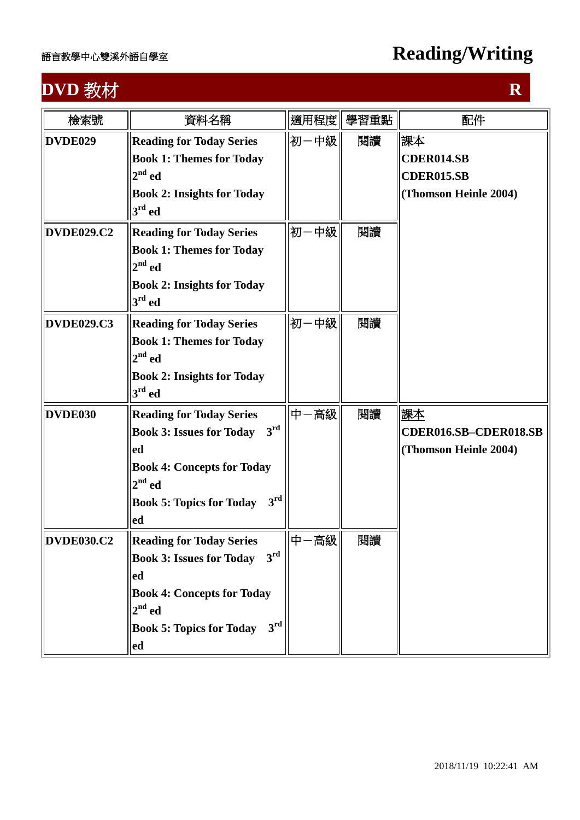## **DVD** 教材 **R R R R R**

| 檢索號               | 資料名稱                                                     | 適用程度 | 學習重點 | 配件                    |
|-------------------|----------------------------------------------------------|------|------|-----------------------|
| DVDE029           | <b>Reading for Today Series</b>                          | 初一中級 | 閲讀   | 課本                    |
|                   | <b>Book 1: Themes for Today</b>                          |      |      | <b>CDER014.SB</b>     |
|                   | $2nd$ ed                                                 |      |      | <b>CDER015.SB</b>     |
|                   | <b>Book 2: Insights for Today</b><br>$3rd$ ed            |      |      | (Thomson Heinle 2004) |
| <b>DVDE029.C2</b> | <b>Reading for Today Series</b>                          | 初-中級 | 閱讀   |                       |
|                   | <b>Book 1: Themes for Today</b><br>$2nd$ ed              |      |      |                       |
|                   | <b>Book 2: Insights for Today</b><br>$3rd$ ed            |      |      |                       |
| <b>DVDE029.C3</b> | <b>Reading for Today Series</b>                          | 初一中級 | 閲讀   |                       |
|                   | <b>Book 1: Themes for Today</b><br>$2nd$ ed              |      |      |                       |
|                   | <b>Book 2: Insights for Today</b><br>$3rd$ ed            |      |      |                       |
| DVDE030           | <b>Reading for Today Series</b>                          | 中一高級 | 閲讀   | 課本                    |
|                   | 3 <sup>rd</sup><br><b>Book 3: Issues for Today</b>       |      |      | CDER016.SB-CDER018.SB |
|                   | ed                                                       |      |      | (Thomson Heinle 2004) |
|                   | <b>Book 4: Concepts for Today</b><br>$2nd$ ed            |      |      |                       |
|                   | 3 <sup>rd</sup><br><b>Book 5: Topics for Today</b><br>ed |      |      |                       |
| <b>DVDE030.C2</b> | <b>Reading for Today Series</b>                          | 中一高級 | 閲讀   |                       |
|                   | 3 <sup>rd</sup><br><b>Book 3: Issues for Today</b>       |      |      |                       |
|                   | ed                                                       |      |      |                       |
|                   | <b>Book 4: Concepts for Today</b><br>$2nd$ ed            |      |      |                       |
|                   | 3 <sup>rd</sup><br><b>Book 5: Topics for Today</b>       |      |      |                       |
|                   | ed                                                       |      |      |                       |